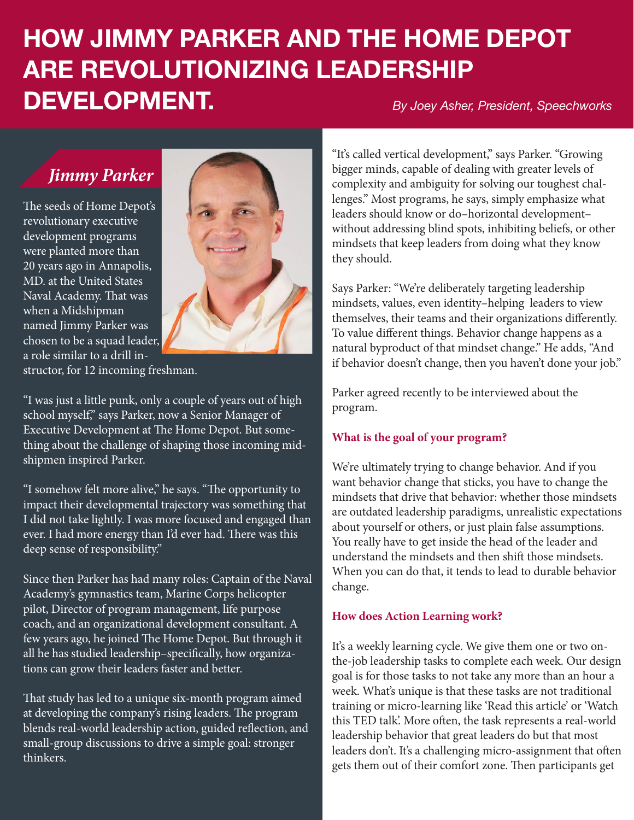# **HOW JIMMY PARKER AND THE HOME DEPOT ARE REVOLUTIONIZING LEADERSHIP DEVELOPMENT.** *By Joey Asher, President, Speechworks*

## *Jimmy Parker*

The seeds of Home Depot's revolutionary executive development programs were planted more than 20 years ago in Annapolis, MD. at the United States Naval Academy. That was when a Midshipman named Jimmy Parker was chosen to be a squad leader, a role similar to a drill in-



structor, for 12 incoming freshman.

"I was just a little punk, only a couple of years out of high school myself," says Parker, now a Senior Manager of Executive Development at The Home Depot. But something about the challenge of shaping those incoming midshipmen inspired Parker.

"I somehow felt more alive," he says. "The opportunity to impact their developmental trajectory was something that I did not take lightly. I was more focused and engaged than ever. I had more energy than I'd ever had. There was this deep sense of responsibility."

Since then Parker has had many roles: Captain of the Naval Academy's gymnastics team, Marine Corps helicopter pilot, Director of program management, life purpose coach, and an organizational development consultant. A few years ago, he joined The Home Depot. But through it all he has studied leadership–specifically, how organizations can grow their leaders faster and better.

That study has led to a unique six-month program aimed at developing the company's rising leaders. The program blends real-world leadership action, guided reflection, and small-group discussions to drive a simple goal: stronger thinkers.

"It's called vertical development," says Parker. "Growing bigger minds, capable of dealing with greater levels of complexity and ambiguity for solving our toughest challenges." Most programs, he says, simply emphasize what leaders should know or do–horizontal development– without addressing blind spots, inhibiting beliefs, or other mindsets that keep leaders from doing what they know they should.

Says Parker: "We're deliberately targeting leadership mindsets, values, even identity–helping leaders to view themselves, their teams and their organizations differently. To value different things. Behavior change happens as a natural byproduct of that mindset change." He adds, "And if behavior doesn't change, then you haven't done your job."

Parker agreed recently to be interviewed about the program.

### **What is the goal of your program?**

We're ultimately trying to change behavior. And if you want behavior change that sticks, you have to change the mindsets that drive that behavior: whether those mindsets are outdated leadership paradigms, unrealistic expectations about yourself or others, or just plain false assumptions. You really have to get inside the head of the leader and understand the mindsets and then shift those mindsets. When you can do that, it tends to lead to durable behavior change.

#### **How does Action Learning work?**

It's a weekly learning cycle. We give them one or two onthe-job leadership tasks to complete each week. Our design goal is for those tasks to not take any more than an hour a week. What's unique is that these tasks are not traditional training or micro-learning like 'Read this article' or 'Watch this TED talk'. More often, the task represents a real-world leadership behavior that great leaders do but that most leaders don't. It's a challenging micro-assignment that often gets them out of their comfort zone. Then participants get